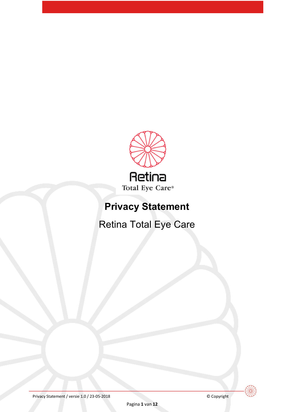

# **Privacy Statement**

Retina Total Eye Care



Privacy Statement / versie 1.0 / 23-05-2018 © Copyright

Pagina **1** van **12**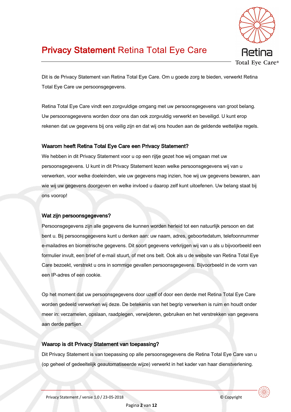

## **Privacy Statement Retina Total Eye Care**

Dit is de Privacy Statement van Retina Total Eye Care. Om u goede zorg te bieden, verwerkt Retina Total Eye Care uw persoonsgegevens.

Retina Total Eye Care vindt een zorgvuldige omgang met uw persoonsgegevens van groot belang. Uw persoonsgegevens worden door ons dan ook zorgvuldig verwerkt en beveiligd. U kunt erop rekenen dat uw gegevens bij ons veilig zijn en dat wij ons houden aan de geldende wettelijke regels.

## Waarom heeft Retina Total Eye Care een Privacy Statement?

We hebben in dit Privacy Statement voor u op een rijtje gezet hoe wij omgaan met uw persoonsgegevens. U kunt in dit Privacy Statement lezen welke persoonsgegevens wij van u verwerken, voor welke doeleinden, wie uw gegevens mag inzien, hoe wij uw gegevens bewaren, aan wie wij uw gegevens doorgeven en welke invloed u daarop zelf kunt uitoefenen. Uw belang staat bij ons voorop!

#### Wat zijn persoonsgegevens?

Persoonsgegevens zijn alle gegevens die kunnen worden herleid tot een natuurlijk persoon en dat bent u. Bij persoonsgegevens kunt u denken aan: uw naam, adres, geboortedatum, telefoonnummer e-mailadres en biometrische gegevens. Dit soort gegevens verkrijgen wij van u als u bijvoorbeeld een formulier invult, een brief of e-mail stuurt, of met ons belt. Ook als u de website van Retina Total Eve Care bezoekt, verstrekt u ons in sommige gevallen persoonsgegevens. Bijvoorbeeld in de vorm van een IP-adres of een cookie.

Op het moment dat uw persoonsgegevens door uzelf of door een derde met Retina Total Eye Care worden gedeeld verwerken wij deze. De betekenis van het begrip verwerken is ruim en houdt onder meer in: verzamelen, opslaan, raadplegen, verwijderen, gebruiken en het verstrekken van gegevens aan derde partijen.

#### Waarop is dit Privacy Statement van toepassing?

Dit Privacy Statement is van toepassing op alle persoonsgegevens die Retina Total Eye Care van u (op geheel of gedeeltelijk geautomatiseerde wijze) verwerkt in het kader van haar dienstverlening.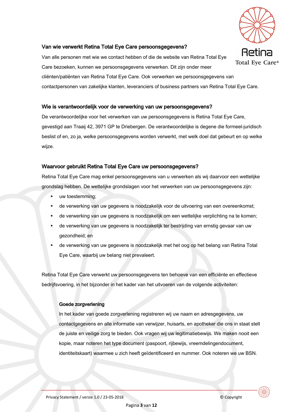

## Van wie verwerkt Retina Total Eye Care persoonsgegevens?

Van alle personen met wie we contact hebben of die de website van Retina Total Eve Care bezoeken, kunnen we persoonsgegevens verwerken. Dit zijn onder meer cliënten/patiënten van Retina Total Eye Care. Ook verwerken we persoonsgegevens van contactpersonen van zakelijke klanten, leveranciers of business partners van Retina Total Eye Care.

#### Wie is verantwoordelijk voor de verwerking van uw persoonsgegevens?

De verantwoordelijke voor het verwerken van uw persoonsgegevens is Retina Total Eve Care. gevestigd aan Traaij 42, 3971 GP te Driebergen. De verantwoordelijke is degene die formeel-juridisch beslist of en, zo ja, welke persoonsgegevens worden verwerkt, met welk doel dat gebeurt en op welke wijze.

#### Waarvoor gebruikt Retina Total Eye Care uw persoonsgegevens?

Retina Total Eye Care mag enkel persoonsgegevens van u verwerken als wij daarvoor een wettelijke grondslag hebben. De wettelijke grondslagen voor het verwerken van uw persoonsgegevens zijn:

- uw toestemming;
- de verwerking van uw gegevens is noodzakelijk voor de uitvoering van een overeenkomst;
- de verwerking van uw gegevens is noodzakelijk om een wettelijke verplichting na te komen;
- de verwerking van uw gegevens is noodzakelijk ter bestrijding van ernstig gevaar van uw gezondheid; en
- de verwerking van uw gegevens is noodzakelijk met het oog op het belang van Retina Total Eye Care, waarbij uw belang niet prevaleert.

Retina Total Eye Care verwerkt uw persoonsgegevens ten behoeve van een efficiënte en effectieve bedrijfsvoering, in het bijzonder in het kader van het uitvoeren van de volgende activiteiten:

#### Goede zorgverlening

In het kader van goede zorgverlening registreren wij uw naam en adresgegevens, uw contactgegevens en alle informatie van verwijzer, huisarts, en apotheker die ons in staat stelt de juiste en veilige zorg te bieden. Ook vragen wij uw legitimatiebewijs. We maken nooit een kopie, maar noteren het type document (paspoort, rijbewijs, vreemdelingendocument, identiteitskaart) waarmee u zich heeft geïdentificeerd en nummer. Ook noteren we uw BSN.

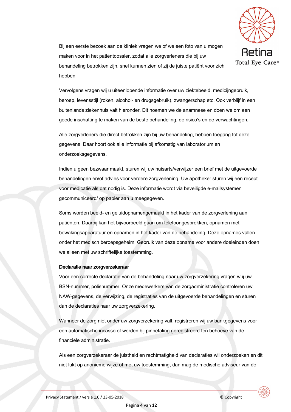

Bij een eerste bezoek aan de kliniek vragen we of we een foto van u mogen maken voor in het patiëntdossier, zodat alle zorgverleners die bij uw behandeling betrokken zijn, snel kunnen zien of zij de juiste patiënt voor zich hebben.

Vervolgens vragen wij u uiteenlopende informatie over uw ziektebeeld, medicijngebruik. beroep, levensstijl (roken, alcohol- en drugsgebruik), zwangerschap etc. Ook verblijf in een buitenlands ziekenhuis valt hieronder. Dit noemen we de anamnese en doen we om een goede inschatting te maken van de beste behandeling, de risico's en de verwachtingen.

Alle zorgverleners die direct betrokken zijn bij uw behandeling, hebben toegang tot deze gegevens. Daar hoort ook alle informatie bij afkomstig van laboratorium en onderzoeksgegevens.

Indien u geen bezwaar maakt, sturen wij uw huisarts/verwijzer een brief met de uitgevoerde behandelingen en/of advies voor verdere zorgverlening. Uw apotheker sturen wij een recept voor medicatie als dat nodig is. Deze informatie wordt via beveiligde e-mailsystemen gecommuniceerd/ op papier aan u meegegeven.

Soms worden beeld- en geluidopnamengemaakt in het kader van de zorgverlening aan patiënten. Daarbij kan het bijvoorbeeld gaan om telefoongesprekken, opnamen met bewakingsapparatuur en opnamen in het kader van de behandeling. Deze opnames vallen onder het medisch beroepsgeheim. Gebruik van deze opname voor andere doeleinden doen we alleen met uw schriftelijke toestemming.

#### Declaratie naar zorgverzekeraar

Voor een correcte declaratie van de behandeling naar uw zorgverzekering vragen w ij uw BSN-nummer, polisnummer. Onze medewerkers van de zorgadministratie controleren uw NAW-gegevens, de verwijzing, de registraties van de uitgevoerde behandelingen en sturen dan de declaraties naar uw zorgverzekering.

Wanneer de zorg niet onder uw zorgverzekering valt, registreren wij uw bankgegevens voor een automatische incasso of worden bij pinbetaling geregistreerd ten behoeve van de financiële administratie.

Als een zorgverzekeraar de juistheid en rechtmatigheid van declaraties wil onderzoeken en dit niet lukt op anonieme wijze of met uw toestemming, dan mag de medische adviseur van de

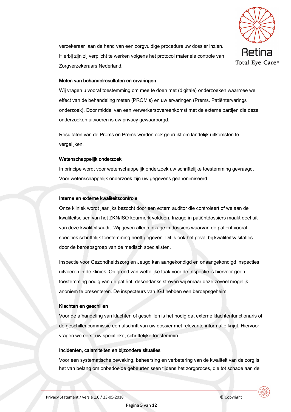

verzekeraar aan de hand van een zorgvuldige procedure uw dossier inzien. Hierbij zijn zij verplicht te werken volgens het protocol materiele controle van Zorgverzekeraars Nederland.

#### Meten van behandelresultaten en ervaringen

Wij vragen u vooraf toestemming om mee te doen met (digitale) onderzoeken waarmee we effect van de behandeling meten (PROM's) en uw ervaringen (Prems. Patiëntervarings onderzoek). Door middel van een verwerkersovereenkomst met de externe partijen die deze onderzoeken uitvoeren is uw privacy gewaarborgd.

Resultaten van de Proms en Prems worden ook gebruikt om landelijk uitkomsten te vergelijken.

#### Wetenschappelijk onderzoek

In principe wordt voor wetenschappelijk onderzoek uw schriftelijke toestemming gevraagd. Voor wetenschappelijk onderzoek zijn uw gegevens geanonimiseerd.

#### Interne en externe kwaliteitscontrole

Onze kliniek wordt jaarlijks bezocht door een extern auditor die controleert of we aan de kwaliteitseisen van het ZKN/ISO keurmerk voldoen. Inzage in patiëntdossiers maakt deel uit van deze kwaliteitsaudit. Wij geven alleen inzage in dossiers waarvan de patiënt vooraf specifiek schriftelijk toestemming heeft gegeven. Dit is ook het geval bij kwaliteitsvisitaties door de beroepsgroep van de medisch specialisten.

Inspectie voor Gezondheidszorg en Jeugd kan aangekondigd en onaangekondigd inspecties uitvoeren in de kliniek. Op grond van wettelijke taak voor de Inspectie is hiervoor geen toestemming nodig van de patiënt, desondanks streven wij ernaar deze zoveel mogelijk anoniem te presenteren. De inspecteurs van IGJ hebben een beroepsgeheim.

#### Klachten en geschillen

Voor de afhandeling van klachten of geschillen is het nodig dat externe klachtenfunctionaris of de geschillencommissie een afschrift van uw dossier met relevante informatie krijgt. Hiervoor vragen we eerst uw specifieke, schriftelijke toestemmin.

#### Incidenten, calamiteiten en bijzondere situaties

Voor een systematische bewaking, beheersing en verbetering van de kwaliteit van de zorg is het van belang om onbedoelde gebeurtenissen tijdens het zorgproces, die tot schade aan de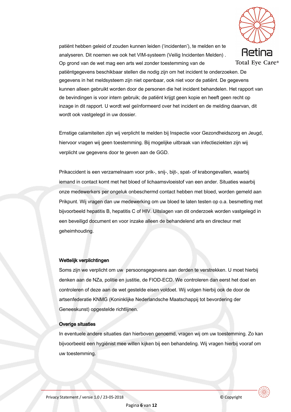

patiënt hebben geleid of zouden kunnen leiden ('incidenten'), te melden en te analyseren. Dit noemen we ook het VIM-systeem (Veilig Incidenten Melden). Op grond van de wet mag een arts wel zonder toestemming van de

patiëntgegevens beschikbaar stellen die nodig zijn om het incident te onderzoeken. De gegevens in het meldsysteem zijn niet openbaar, ook niet voor de patiënt. De gegevens kunnen alleen gebruikt worden door de personen die het incident behandelen. Het rapport van de bevindingen is voor intern gebruik; de patiënt krijgt geen kopie en heeft geen recht op inzage in dit rapport. U wordt wel geïnformeerd over het incident en de melding daarvan, dit wordt ook vastgelegd in uw dossier.

Ernstige calamiteiten zijn wij verplicht te melden bij Inspectie voor Gezondheidszorg en Jeugd. hiervoor vragen wij geen toestemming. Bij mogelijke uitbraak van infectieziekten zijn wij verplicht uw gegevens door te geven aan de GGD.

Prikaccident is een verzamelnaam voor prik-, snij-, bijt-, spat- of krabongevallen, waarbij iemand in contact komt met het bloed of lichaamsvloeistof van een ander. Situaties waarbij onze medewerkers per ongeluk onbeschermd contact hebben met bloed, worden gemeld aan Prikpunt. Wij vragen dan uw medewerking om uw bloed te laten testen op o.a. besmetting met bijvoorbeeld hepatitis B, hepatitis C of HIV. Uitslagen van dit onderzoek worden vastgelegd in een beveiligd document en voor inzake alleen de behandelend arts en directeur met geheimhouding.

#### Wettelijk verplichtingen

Soms zijn we verplicht om uw persoonsgegevens aan derden te verstrekken. U moet hierbij denken aan de NZa, politie en justitie, de FIOD-ECD. We controleren dan eerst het doel en controleren of deze aan de wet gestelde eisen voldoet. Wij volgen hierbij ook de door de artsenfederatie KNMG (Koninklijke Nederlandsche Maatschappij tot bevordering der Geneeskunst) opgestelde richtlijnen.

#### **Overige situaties**

In eventuele andere situaties dan hierboven genoemd, vragen wij om uw toestemming. Zo kan bijvoorbeeld een hygiënist mee willen kijken bij een behandeling. Wij vragen hierbij vooraf om uw toestemming.

© Copyright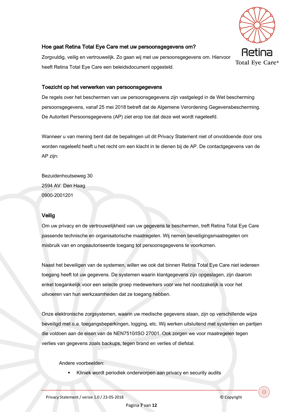

## Hoe gaat Retina Total Eye Care met uw persoonsgegevens om?

Zorgvuldig, veilig en vertrouwelijk. Zo gaan wij met uw persoonsgegevens om. Hiervoor heeft Retina Total Eye Care een beleidsdocument opgesteld.

### Toezicht op het verwerken van persoonsgegevens

De regels over het beschermen van uw persoonsgegevens zijn vastgelegd in de Wet bescherming persoonsgegevens, vanaf 25 mei 2018 betreft dat de Algemene Verordening Gegevensbescherming. De Autoriteit Persoonsgegevens (AP) ziet erop toe dat deze wet wordt nageleefd.

Wanneer u van mening bent dat de bepalingen uit dit Privacy Statement niet of onvoldoende door ons worden nageleefd heeft u het recht om een klacht in te dienen bij de AP. De contactgegevens van de AP zijn:

Bezuidenhoutseweg 30 2594 AV Den Haag 0900-2001201

#### Veilig

Om uw privacy en de vertrouwelijkheid van uw gegevens te beschermen, treft Retina Total Eye Care passende technische en organisatorische maatregelen. Wij nemen beveiligingsmaatregelen om misbruik van en ongeautoriseerde toegang tot persoonsgegevens te voorkomen.

Naast het beveiligen van de systemen, willen we ook dat binnen Retina Total Eye Care niet iedereen toegang heeft tot uw gegevens. De systemen waarin klantgegevens zijn opgeslagen, zijn daarom enkel toegankelijk voor een selecte groep medewerkers voor wie het noodzakelijk is voor het uitvoeren van hun werkzaamheden dat ze toegang hebben.

Onze elektronische zorgsystemen, waarin uw medische gegevens staan, zijn op verschillende wijze beveiligd met o.a. toegangsbeperkingen, logging, etc. Wij werken uitsluitend met systemen en partijen die voldoen aan de eisen van de NEN7510/ISO 27001. Ook zorgen we voor maatregelen tegen verlies van gegevens zoals backups, tegen brand en verlies of diefstal.

Andere voorbeelden:

Kliniek wordt periodiek onderworpen aan privacy en security audits

Pagina 7 van 12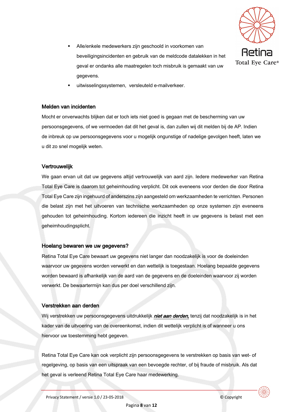

- Alle/enkele medewerkers zijn geschoold in voorkomen van beveiligingsincidenten en gebruik van de meldcode datalekken in het geval er ondanks alle maatregelen toch misbruik is gemaakt van uw gegevens.
- uitwisselingssystemen, versleuteld e-mailverkeer.

#### Melden van incidenten

Mocht er onverwachts blijken dat er toch jets niet goed is gegaan met de bescherming van uw persoonsgegevens, of we vermoeden dat dit het geval is, dan zullen wij dit melden bij de AP. Indien de inbreuk op uw persoonsgegevens voor u mogelijk ongunstige of nadelige gevolgen heeft, laten we u dit zo snel mogelijk weten.

#### Vertrouwelijk

We gaan ervan uit dat uw gegevens altijd vertrouwelijk van aard zijn. Iedere medewerker van Retina Total Eye Care is daarom tot geheimhouding verplicht. Dit ook eveneens voor derden die door Retina Total Eye Care zijn ingehuurd of anderszins zijn aangesteld om werkzaamheden te verrichten. Personen die belast zijn met het uitvoeren van technische werkzaamheden op onze systemen zijn eveneens gehouden tot geheimhouding. Kortom iedereen die inzicht heeft in uw gegevens is belast met een geheimhoudingsplicht.

#### Hoelang bewaren we uw gegevens?

Retina Total Eye Care bewaart uw gegevens niet langer dan noodzakelijk is voor de doeleinden waarvoor uw gegevens worden verwerkt en dan wettelijk is toegestaan. Hoelang bepaalde gegevens worden bewaard is afhankelijk van de aard van de gegevens en de doeleinden waarvoor zij worden verwerkt. De bewaartermijn kan dus per doel verschillend zijn.

#### Verstrekken aan derden

Wij verstrekken uw persoonsgegevens uitdrukkelijk *niet aan derden*, tenzij dat noodzakelijk is in het kader van de uitvoering van de overeenkomst, indien dit wettelijk verplicht is of wanneer u ons hiervoor uw toestemming hebt gegeven.

Retina Total Eye Care kan ook verplicht zijn persoonsgegevens te verstrekken op basis van wet- of regelgeving, op basis van een uitspraak van een bevoegde rechter, of bij fraude of misbruik. Als dat het geval is verleend Retina Total Eye Care haar medewerking.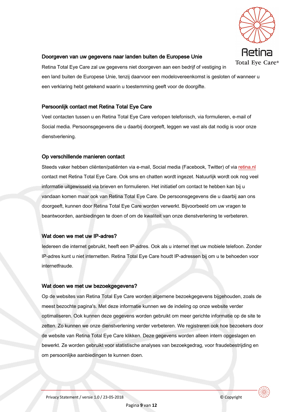

#### Doorgeven van uw gegevens naar landen buiten de Europese Unie

Retina Total Eye Care zal uw gegevens niet doorgeven aan een bedrijf of vestiging in een land buiten de Europese Unie, tenzij daarvoor een modelovereenkomst is gesloten of wanneer u een verklaring hebt getekend waarin u toestemming geeft voor de doorgifte.

## Persoonlijk contact met Retina Total Eye Care

Veel contacten tussen u en Retina Total Eve Care verlopen telefonisch, via formulieren, e-mail of Social media. Persoonsgegevens die u daarbij doorgeeft, leggen we vast als dat nodig is voor onze dienstverlening.

#### Op verschillende manieren contact

Steeds vaker hebben cliënten/patiënten via e-mail, Social media (Facebook, Twitter) of via retina.nl contact met Retina Total Eye Care. Ook sms en chatten wordt ingezet. Natuurlijk wordt ook nog veel informatie uitgewisseld via brieven en formulieren. Het initiatief om contact te hebben kan bij u vandaan komen maar ook van Retina Total Eye Care. De persoonsgegevens die u daarbij aan ons doorgeeft, kunnen door Retina Total Eye Care worden verwerkt. Bijvoorbeeld om uw vragen te beantwoorden, aanbiedingen te doen of om de kwaliteit van onze dienstverlening te verbeteren.

#### Wat doen we met uw IP-adres?

ledereen die internet gebruikt, heeft een IP-adres. Ook als u internet met uw mobiele telefoon. Zonder IP-adres kunt u niet internetten. Retina Total Eye Care houdt IP-adressen bij om u te behoeden voor internetfraude.

#### Wat doen we met uw bezoekgegevens?

Op de websites van Retina Total Eye Care worden algemene bezoekgegevens bijgehouden, zoals de meest bezochte pagina's. Met deze informatie kunnen we de indeling op onze website verder optimaliseren. Ook kunnen deze gegevens worden gebruikt om meer gerichte informatie op de site te zetten. Zo kunnen we onze dienstverlening verder verbeteren. We registreren ook hoe bezoekers door de website van Retina Total Eye Care klikken. Deze gegevens worden alleen intern opgeslagen en bewerkt. Ze worden gebruikt voor statistische analyses van bezoekgedrag, voor fraudebestrijding en om persoonlijke aanbiedingen te kunnen doen.

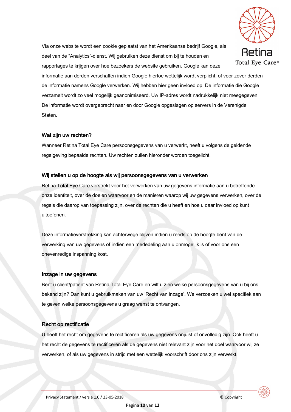

Via onze website wordt een cookie geplaatst van het Amerikaanse bedrijf Google, als deel van de "Analytics"-dienst. Wij gebruiken deze dienst om bij te houden en rapportages te krijgen over hoe bezoekers de website gebruiken. Google kan deze

informatie aan derden verschaffen indien Google hiertoe wettelijk wordt verplicht, of voor zover derden de informatie namens Google verwerken. Wij hebben hier geen invloed op. De informatie die Google verzamelt wordt zo veel mogelijk geanonimiseerd. Uw IP-adres wordt nadrukkelijk niet meegegeven. De informatie wordt overgebracht naar en door Google opgeslagen op servers in de Verenigde Staten.

## Wat zijn uw rechten?

Wanneer Retina Total Eye Care persoonsgegevens van u verwerkt, heeft u volgens de geldende regelgeving bepaalde rechten. Uw rechten zullen hieronder worden toegelicht.

## Wij stellen u op de hoogte als wij persoonsgegevens van u verwerken

Retina Total Eye Care verstrekt voor het verwerken van uw gegevens informatie aan u betreffende onze identiteit, over de doelen waarvoor en de manieren waarop wij uw gegevens verwerken, over de regels die daarop van toepassing zijn, over de rechten die u heeft en hoe u daar invloed op kunt uitoefenen.

Deze informatieverstrekking kan achterwege blijven indien u reeds op de hoogte bent van de verwerking van uw gegevens of indien een mededeling aan u onmogelijk is of voor ons een onevenredige inspanning kost.

#### Inzage in uw gegevens

Bent u cliënt/patiënt van Retina Total Eye Care en wilt u zien welke persoonsgegevens van u bij ons bekend zijn? Dan kunt u gebruikmaken van uw 'Recht van inzage'. We verzoeken u wel specifiek aan te geven welke persoonsgegevens u graag wenst te ontvangen.

## **Recht op rectificatie**

U heeft het recht om gegevens te rectificeren als uw gegevens onjuist of onvolledig zijn. Ook heeft u het recht de gegevens te rectificeren als de gegevens niet relevant zijn voor het doel waarvoor wij ze verwerken, of als uw gegevens in strijd met een wettelijk voorschrift door ons zijn verwerkt.

© Copyright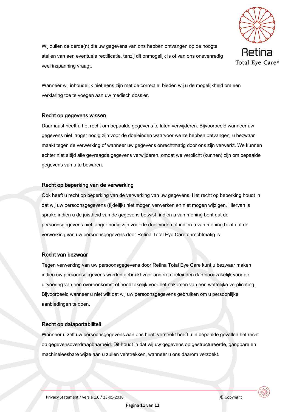

Wij zullen de derde(n) die uw gegevens van ons hebben ontvangen op de hoogte stellen van een eventuele rectificatie, tenzij dit onmogelijk is of van ons onevenredig veel inspanning vraagt.

Wanneer wij inhoudelijk niet eens zijn met de correctie, bieden wij u de mogelijkheid om een verklaring toe te voegen aan uw medisch dossier.

#### Recht op gegevens wissen

Daarnaast heeft u het recht om bepaalde gegevens te laten verwijderen. Bijvoorbeeld wanneer uw gegevens niet langer nodig zijn voor de doeleinden waarvoor we ze hebben ontvangen, u bezwaar maakt tegen de verwerking of wanneer uw gegevens onrechtmatig door ons zijn verwerkt. We kunnen echter niet altijd alle gevraagde gegevens verwijderen, omdat we verplicht (kunnen) zijn om bepaalde gegevens van u te bewaren.

#### Recht op beperking van de verwerking

Ook heeft u recht op beperking van de verwerking van uw gegevens. Het recht op beperking houdt in dat wij uw persoonsgegevens (tijdelijk) niet mogen verwerken en niet mogen wijzigen. Hiervan is sprake indien u de juistheid van de gegevens betwist, indien u van mening bent dat de persoonsgegevens niet langer nodig zijn voor de doeleinden of indien u van mening bent dat de verwerking van uw persoonsgegevens door Retina Total Eye Care onrechtmatig is.

#### Recht van bezwaar

Tegen verwerking van uw persoonsgegevens door Retina Total Eye Care kunt u bezwaar maken indien uw persoonsgegevens worden gebruikt voor andere doeleinden dan noodzakelijk voor de uitvoering van een overeenkomst of noodzakelijk voor het nakomen van een wettelijke verplichting. Bijvoorbeeld wanneer u niet wilt dat wij uw persoonsgegevens gebruiken om u persoonlijke aanbiedingen te doen.

#### Recht op dataportabiliteit

Wanneer u zelf uw persoonsgegevens aan ons heeft verstrekt heeft u in bepaalde gevallen het recht op gegevensoverdraagbaarheid. Dit houdt in dat wij uw gegevens op gestructureerde, gangbare en machineleesbare wijze aan u zullen verstrekken, wanneer u ons daarom verzoekt.